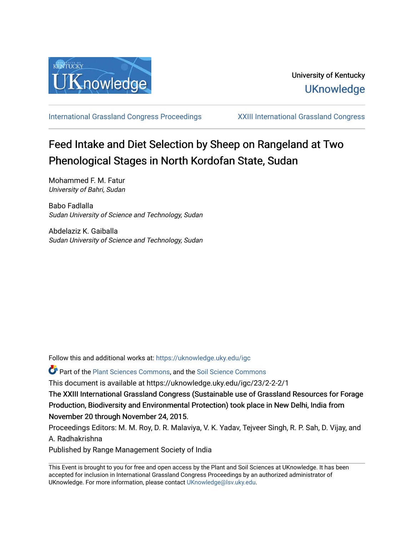

[International Grassland Congress Proceedings](https://uknowledge.uky.edu/igc) [XXIII International Grassland Congress](https://uknowledge.uky.edu/igc/23) 

# Feed Intake and Diet Selection by Sheep on Rangeland at Two Phenological Stages in North Kordofan State, Sudan

Mohammed F. M. Fatur University of Bahri, Sudan

Babo Fadlalla Sudan University of Science and Technology, Sudan

Abdelaziz K. Gaiballa Sudan University of Science and Technology, Sudan

Follow this and additional works at: [https://uknowledge.uky.edu/igc](https://uknowledge.uky.edu/igc?utm_source=uknowledge.uky.edu%2Figc%2F23%2F2-2-2%2F1&utm_medium=PDF&utm_campaign=PDFCoverPages) 

**P** Part of the [Plant Sciences Commons](http://network.bepress.com/hgg/discipline/102?utm_source=uknowledge.uky.edu%2Figc%2F23%2F2-2-2%2F1&utm_medium=PDF&utm_campaign=PDFCoverPages), and the Soil Science Commons

This document is available at https://uknowledge.uky.edu/igc/23/2-2-2/1

The XXIII International Grassland Congress (Sustainable use of Grassland Resources for Forage Production, Biodiversity and Environmental Protection) took place in New Delhi, India from November 20 through November 24, 2015.

Proceedings Editors: M. M. Roy, D. R. Malaviya, V. K. Yadav, Tejveer Singh, R. P. Sah, D. Vijay, and A. Radhakrishna

Published by Range Management Society of India

This Event is brought to you for free and open access by the Plant and Soil Sciences at UKnowledge. It has been accepted for inclusion in International Grassland Congress Proceedings by an authorized administrator of UKnowledge. For more information, please contact [UKnowledge@lsv.uky.edu](mailto:UKnowledge@lsv.uky.edu).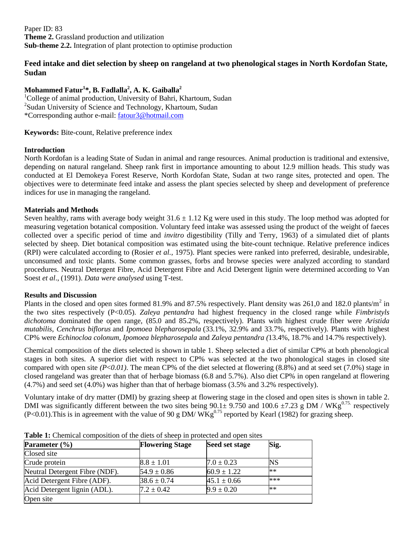Paper ID: 83 **Theme 2.** Grassland production and utilization **Sub-theme 2.2.** Integration of plant protection to optimise production

# **Feed intake and diet selection by sheep on rangeland at two phenological stages in North Kordofan State, Sudan**

# **Mohammed Fatur<sup>1</sup> \*, B. Fadlalla<sup>2</sup> , A. K. Gaiballa<sup>2</sup>**

<sup>1</sup>College of animal production, University of Bahri, Khartoum, Sudan <sup>2</sup>Sudan University of Science and Technology, Khartoum, Sudan \*Corresponding author e-mail: [fatour3@hotmail.com](mailto:fatour3@hotmail.com)

**Keywords:** Bite-count, Relative preference index

## **Introduction**

North Kordofan is a leading State of Sudan in animal and range resources. Animal production is traditional and extensive, depending on natural rangeland. Sheep rank first in importance amounting to about 12.9 million heads. This study was conducted at El Demokeya Forest Reserve, North Kordofan State, Sudan at two range sites, protected and open. The objectives were to determinate feed intake and assess the plant species selected by sheep and development of preference indices for use in managing the rangeland.

## **Materials and Methods**

Seven healthy, rams with average body weight  $31.6 \pm 1.12$  Kg were used in this study. The loop method was adopted for measuring vegetation botanical composition. Voluntary feed intake was assessed using the product of the weight of faeces collected over a specific period of time and *invitro* digestibility (Tilly and Terry, 1963) of a simulated diet of plants selected by sheep. Diet botanical composition was estimated using the bite-count technique. Relative preference indices (RPI) were calculated according to (Rosier *et al.,* 1975). Plant species were ranked into preferred, desirable, undesirable, unconsumed and toxic plants. Some common grasses, forbs and browse species were analyzed according to standard procedures. Neutral Detergent Fibre, Acid Detergent Fibre and Acid Detergent lignin were determined according to Van Soest *et al*., (1991). *Data were analysed* using T-test.

### **Results and Discussion**

Plants in the closed and open sites formed 81.9% and 87.5% respectively. Plant density was 261,0 and 182.0 plants/ $m^2$  in the two sites respectively (P<0.05). *Zaleya pentandra* had highest frequency in the closed range while *Fimbristyls dichotoma* dominated the open range, (85.0 and 85.2%, respectively). Plants with highest crude fiber were *Aristida mutabilis*, *Cenchrus biflorus* and *Ipomoea blepharosepala* (33.1%, 32.9% and 33.7%, respectively). Plants with highest CP% were *Echinocloa colonum, Ipomoea blepharosepala* and *Zaleya pentandra (*13.4%, 18.7% and 14.7% respectively).

Chemical composition of the diets selected is shown in table 1. Sheep selected a diet of similar CP% at both phenological stages in both sites. A superior diet with respect to CP% was selected at the two phonological stages in closed site compared with open site  $(P<0.01)$ . The mean CP% of the diet selected at flowering  $(8.8%)$  and at seed set  $(7.0%)$  stage in closed rangeland was greater than that of herbage biomass (6.8 and 5.7%). Also diet CP% in open rangeland at flowering (4.7%) and seed set (4.0%) was higher than that of herbage biomass (3.5% and 3.2% respectively).

Voluntary intake of dry matter (DMI) by grazing sheep at flowering stage in the closed and open sites is shown in table 2. DMI was significantly different between the two sites being  $90.1\pm 9.750$  and  $100.6 \pm 7.23$  g DM / WKg<sup>0.75.</sup> respectively (P<0.01). This is in agreement with the value of 90 g DM/  $WKg^{0.75}$  reported by Kearl (1982) for grazing sheep.

| Parameter $(\% )$              | <b>Flowering Stage</b> | Seed set stage  | Sig.      |
|--------------------------------|------------------------|-----------------|-----------|
| Closed site                    |                        |                 |           |
| Crude protein                  | $8.8 \pm 1.01$         | $7.0 \pm 0.23$  | <b>NS</b> |
| Neutral Detergent Fibre (NDF). | $54.9 \pm 0.86$        | $60.9 \pm 1.22$ | $**$      |
| Acid Detergent Fibre (ADF).    | $38.6 \pm 0.74$        | $45.1 \pm 0.66$ | ***       |
| Acid Detergent lignin (ADL).   | $7.2 \pm 0.42$         | $9.9 \pm 0.20$  | $**$      |
| Open site                      |                        |                 |           |

**Table 1:** Chemical composition of the diets of sheep in protected and open sites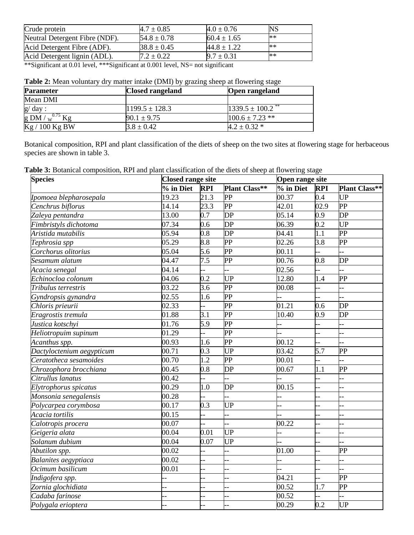| Crude protein                  | $4.7 \pm 0.85$  | $4.0 \pm 0.76$  | <b>NS</b> |
|--------------------------------|-----------------|-----------------|-----------|
| Neutral Detergent Fibre (NDF). | $54.8 \pm 0.78$ | $60.4 \pm 1.65$ | $**$      |
| Acid Detergent Fibre (ADF).    | $38.8 \pm 0.45$ | $44.8 \pm 1.22$ | $**$      |
| Acid Detergent lignin (ADL).   | $7.2 \pm 0.22$  | $9.7 \pm 0.31$  | $**$      |

\*\*Significant at 0.01 level, \*\*\*Significant at 0.001 level, NS= not significant

| Table 2: Mean voluntary dry matter intake (DMI) by grazing sheep at flowering stage |  |  |  |
|-------------------------------------------------------------------------------------|--|--|--|
|-------------------------------------------------------------------------------------|--|--|--|

| <b>Parameter</b>     | <b>Closed rangeland</b> | Open rangeland      |
|----------------------|-------------------------|---------------------|
| Mean DMI             |                         |                     |
| g/ day :             | $1199.5 \pm 128.3$      | $1339.5 \pm 100.2$  |
| g DM / $w^{0.75}$ Kg | $90.1 \pm 9.75$         | $100.6 \pm 7.23$ ** |
| Kg / 100 Kg BW       | $3.8 \pm 0.42$          | $4.2 \pm 0.32$ *    |

Botanical composition, RPI and plant classification of the diets of sheep on the two sites at flowering stage for herbaceous species are shown in table 3.

**Table 3:** Botanical composition, RPI and plant classification of the diets of sheep at flowering stage

| <b>Species</b>                    | <b>Closed range site</b> |                  |                        | Open range site    |                          |                          |
|-----------------------------------|--------------------------|------------------|------------------------|--------------------|--------------------------|--------------------------|
|                                   | % in Diet                | <b>RPI</b>       | <b>Plant Class**</b>   | % in Diet          | <b>RPI</b>               | <b>Plant Class**</b>     |
| Ipomoea blepharosepala            | 19.23                    | 21.3             | PP                     | 00.37              | 0.4                      | <b>UP</b>                |
| Cenchrus biflorus                 | 14.14                    | 23.3             | <b>PP</b>              | $\overline{42.01}$ | 02.9                     | $\overline{PP}$          |
| Zaleya pentandra                  | 13.00                    | $\overline{0.7}$ | DP                     | 05.14              | 0.9                      | $\overline{DP}$          |
| Fimbristyls dichotoma             | 07.34                    | 0.6              | $\overline{DP}$        | 06.39              | 0.2                      | $\overline{UP}$          |
| Aristida mutabilis                | 05.94                    | $\overline{0.8}$ | $\overline{\text{DP}}$ | 04.41              | $\overline{1.1}$         | $\overline{PP}$          |
| Tephrosia spp                     | 05.29                    | $\overline{8.8}$ | <b>PP</b>              | 02.26              | $\overline{3.8}$         | $\overline{\text{PP}}$   |
| Corchorus olitorius               | 05.04                    | 5.6              | $\overline{PP}$        | 00.11              |                          |                          |
| Sesamum alatum                    | 04.47                    | 7.5              | $\overline{PP}$        | 00.76              | 0.8                      | DP                       |
| Acacia senegal                    | 04.14                    |                  |                        | 02.56              |                          |                          |
| Echinocloa colonum                | 04.06                    | 0.2              | UP                     | 12.80              | 1.4                      | PP                       |
| Tribulus terrestris               | 03.22                    | 3.6              | PP                     | 00.08              | $\overline{\phantom{a}}$ |                          |
| $\overline{G}$ yndropsis gynandra | 02.55                    | 1.6              | PP                     |                    |                          |                          |
| Chloris prieurii                  | 02.33                    |                  | $\overline{\text{PP}}$ | 01.21              | 0.6                      | DP                       |
| Eragrostis tremula                | 01.88                    | $\overline{3.1}$ | $\overline{\text{PP}}$ | 10.40              | 0.9                      | DP                       |
| Justica kotschyi                  | 01.76                    | 5.9              | PP                     |                    |                          |                          |
| Heliotropuim supinum              | 01.29                    |                  | PP                     |                    | --                       |                          |
| Acanthus spp.                     | 00.93                    | 1.6              | $\overline{PP}$        | 00.12              | --                       |                          |
| Dactyloctenium aegypticum         | 00.71                    | 0.3              | <b>UP</b>              | 03.42              | 5.7                      | $\overline{PP}$          |
| Ceratotheca sesamoides            | 00.70                    | 1.2              | PP                     | 00.01              | 4                        |                          |
| Chrozophora brocchiana            | 00.45                    | 0.8              | DP                     | 00.67              | 1.1                      | $\overline{PP}$          |
| Citrullus lanatus                 | 00.42                    |                  |                        |                    |                          |                          |
| Elytrophorus spicatus             | 00.29                    | 1.0              | DP                     | 00.15              |                          |                          |
| Monsonia senegalensis             | 00.28                    |                  |                        |                    |                          | . –                      |
| Polycarpea corymbosa              | 00.17                    | 0.3              | UP                     |                    | $\overline{\phantom{a}}$ | . –                      |
| Acacia tortilis                   | 00.15                    |                  |                        |                    |                          | ÷                        |
| Calotropis procera                | 00.07                    |                  |                        | 00.22              |                          | . –                      |
| Geigeria alata                    | 00.04                    | 0.01             | UP                     |                    | ш,                       | ÷.                       |
| Solanum dubium                    | 00.04                    | 0.07             | <b>UP</b>              |                    |                          |                          |
| Abutilon spp.                     | 00.02                    | ш,               | Ĺ.                     | 01.00              | 44                       | $\overline{PP}$          |
| <b>Balanites aegyptiaca</b>       | 00.02                    | ш,               | $\overline{a}$         |                    | $-$                      | $\overline{\phantom{a}}$ |
| Ocimum basilicum                  | 00.01                    | ш,               | ÷.                     |                    | $\overline{a}$           | н.                       |
| Indigofera spp.                   |                          | ä,               | L.                     | 04.21              | $\overline{a}$           | $\overline{PP}$          |
| Zornia glochidiata                |                          |                  |                        | 00.52              | 1.7                      | $\overline{PP}$          |
| Cadaba farinose                   |                          |                  |                        | 00.52              |                          |                          |
| Polygala erioptera                |                          |                  |                        | 00.29              | 0.2                      | UP                       |